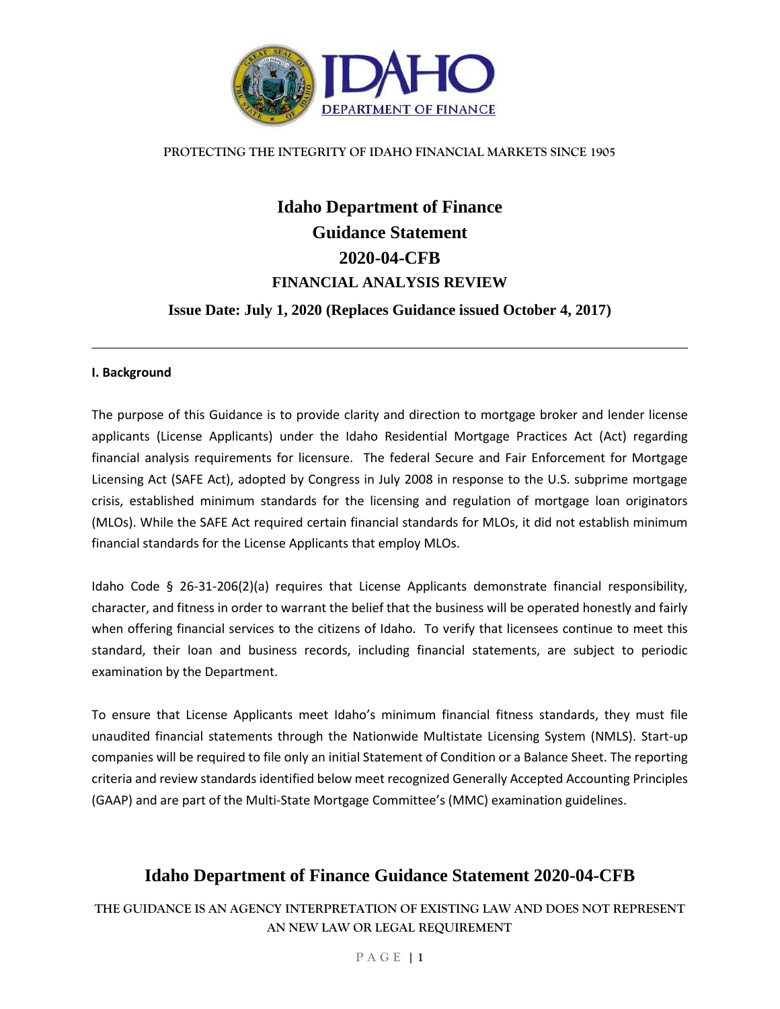

# **Idaho Department of Finance Guidance Statement 2020-04-CFB FINANCIAL ANALYSIS REVIEW Issue Date: July 1, 2020 (Replaces Guidance issued October 4, 2017)**

#### **I. Background**

The purpose of this Guidance is to provide clarity and direction to mortgage broker and lender license applicants (License Applicants) under the Idaho Residential Mortgage Practices Act (Act) regarding financial analysis requirements for licensure. The federal Secure and Fair Enforcement for Mortgage Licensing Act (SAFE Act), adopted by Congress in July 2008 in response to the U.S. subprime mortgage crisis, established minimum standards for the licensing and regulation of mortgage loan originators (MLOs). While the SAFE Act required certain financial standards for MLOs, it did not establish minimum financial standards for the License Applicants that employ MLOs.

Idaho Code § 26-31-206(2)(a) requires that License Applicants demonstrate financial responsibility, character, and fitness in order to warrant the belief that the business will be operated honestly and fairly when offering financial services to the citizens of Idaho. To verify that licensees continue to meet this standard, their loan and business records, including financial statements, are subject to periodic examination by the Department.

To ensure that License Applicants meet Idaho's minimum financial fitness standards, they must file unaudited financial statements through the Nationwide Multistate Licensing System (NMLS). Start-up companies will be required to file only an initial Statement of Condition or a Balance Sheet. The reporting criteria and review standards identified below meet recognized Generally Accepted Accounting Principles (GAAP) and are part of the Multi-State Mortgage Committee's (MMC) examination guidelines.

# **Idaho Department of Finance Guidance Statement 2020-04-CFB**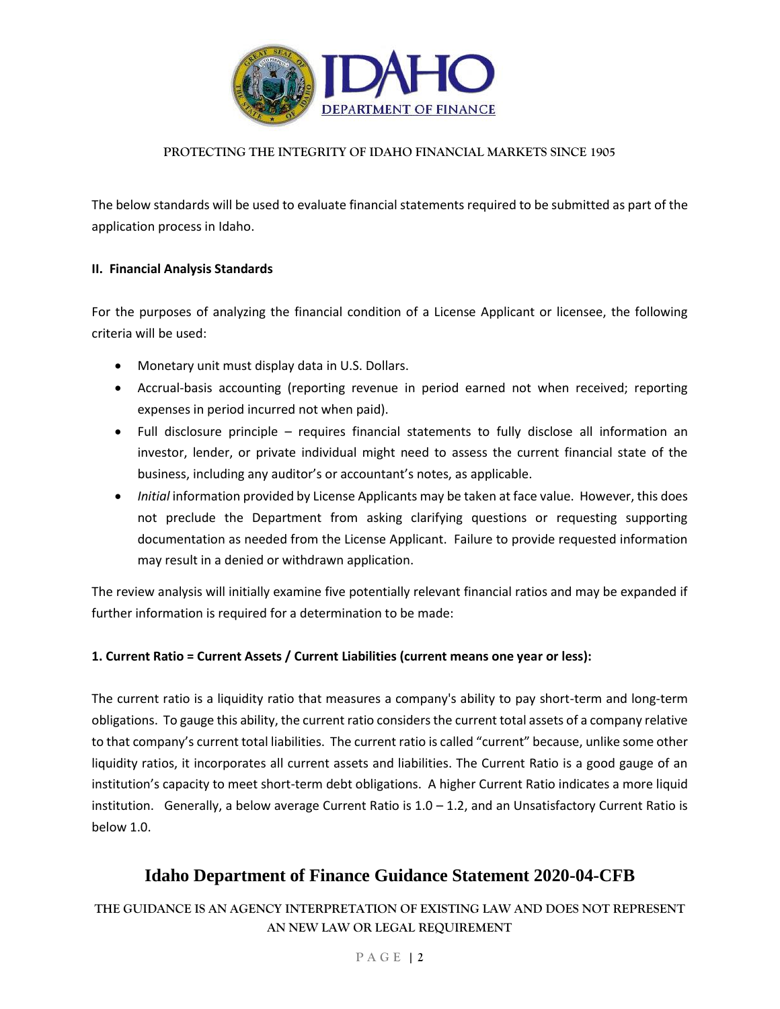

The below standards will be used to evaluate financial statements required to be submitted as part of the application process in Idaho.

# **II. Financial Analysis Standards**

For the purposes of analyzing the financial condition of a License Applicant or licensee, the following criteria will be used:

- Monetary unit must display data in U.S. Dollars.
- Accrual-basis accounting (reporting revenue in period earned not when received; reporting expenses in period incurred not when paid).
- Full disclosure principle requires financial statements to fully disclose all information an investor, lender, or private individual might need to assess the current financial state of the business, including any auditor's or accountant's notes, as applicable.
- *Initial* information provided by License Applicants may be taken at face value. However, this does not preclude the Department from asking clarifying questions or requesting supporting documentation as needed from the License Applicant. Failure to provide requested information may result in a denied or withdrawn application.

The review analysis will initially examine five potentially relevant financial ratios and may be expanded if further information is required for a determination to be made:

# **1. Current Ratio = Current Assets / Current Liabilities (current means one year or less):**

The current ratio is a liquidity ratio that measures a company's ability to pay short-term and long-term obligations. To gauge this ability, the current ratio considers the current total assets of a company relative to that company's current total liabilities. The current ratio is called "current" because, unlike some other liquidity ratios, it incorporates all current assets and liabilities. The Current Ratio is a good gauge of an institution's capacity to meet short-term debt obligations. A higher Current Ratio indicates a more liquid institution. Generally, a below average Current Ratio is  $1.0 - 1.2$ , and an Unsatisfactory Current Ratio is below 1.0.

# **Idaho Department of Finance Guidance Statement 2020-04-CFB**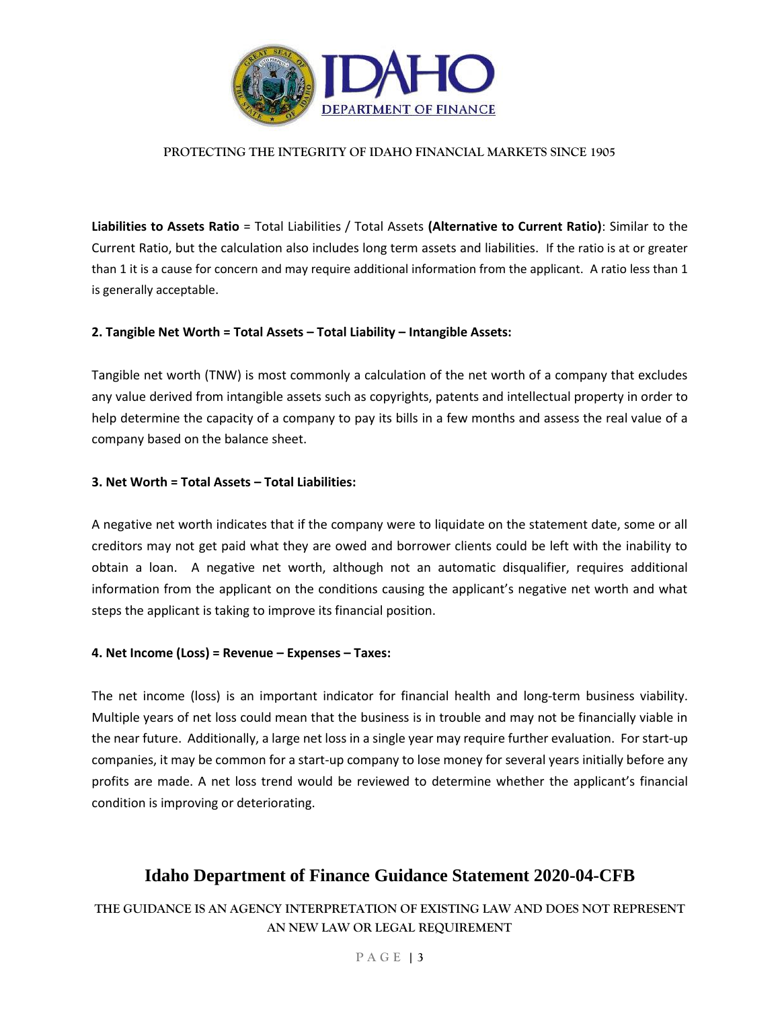

**Liabilities to Assets Ratio** = Total Liabilities / Total Assets **(Alternative to Current Ratio)**: Similar to the Current Ratio, but the calculation also includes long term assets and liabilities. If the ratio is at or greater than 1 it is a cause for concern and may require additional information from the applicant. A ratio less than 1 is generally acceptable.

### **2. Tangible Net Worth = Total Assets – Total Liability – Intangible Assets:**

Tangible net worth (TNW) is most commonly a calculation of the net worth of a company that excludes any value derived from intangible assets such as copyrights, patents and intellectual property in order to help determine the capacity of a company to pay its bills in a few months and assess the real value of a company based on the balance sheet.

### **3. Net Worth = Total Assets – Total Liabilities:**

A negative net worth indicates that if the company were to liquidate on the statement date, some or all creditors may not get paid what they are owed and borrower clients could be left with the inability to obtain a loan. A negative net worth, although not an automatic disqualifier, requires additional information from the applicant on the conditions causing the applicant's negative net worth and what steps the applicant is taking to improve its financial position.

#### **4. Net Income (Loss) = Revenue – Expenses – Taxes:**

The net income (loss) is an important indicator for financial health and long-term business viability. Multiple years of net loss could mean that the business is in trouble and may not be financially viable in the near future. Additionally, a large net loss in a single year may require further evaluation. For start-up companies, it may be common for a start-up company to lose money for several years initially before any profits are made. A net loss trend would be reviewed to determine whether the applicant's financial condition is improving or deteriorating.

# **Idaho Department of Finance Guidance Statement 2020-04-CFB**